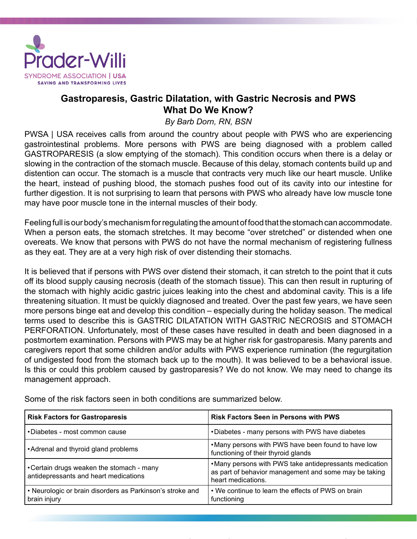

## **Gastroparesis, Gastric Dilatation, with Gastric Necrosis and PWS What Do We Know?**

## *By Barb Dorn, RN, BSN*

PWSA | USA receives calls from around the country about people with PWS who are experiencing gastrointestinal problems. More persons with PWS are being diagnosed with a problem called GASTROPARESIS (a slow emptying of the stomach). This condition occurs when there is a delay or slowing in the contraction of the stomach muscle. Because of this delay, stomach contents build up and distention can occur. The stomach is a muscle that contracts very much like our heart muscle. Unlike the heart, instead of pushing blood, the stomach pushes food out of its cavity into our intestine for further digestion. It is not surprising to learn that persons with PWS who already have low muscle tone may have poor muscle tone in the internal muscles of their body.

Feeling full is our body's mechanism for regulating the amount of food that the stomach can accommodate. When a person eats, the stomach stretches. It may become "over stretched" or distended when one overeats. We know that persons with PWS do not have the normal mechanism of registering fullness as they eat. They are at a very high risk of over distending their stomachs.

It is believed that if persons with PWS over distend their stomach, it can stretch to the point that it cuts off its blood supply causing necrosis (death of the stomach tissue). This can then result in rupturing of the stomach with highly acidic gastric juices leaking into the chest and abdominal cavity. This is a life threatening situation. It must be quickly diagnosed and treated. Over the past few years, we have seen more persons binge eat and develop this condition – especially during the holiday season. The medical terms used to describe this is GASTRIC DILATATION WITH GASTRIC NECROSIS and STOMACH PERFORATION. Unfortunately, most of these cases have resulted in death and been diagnosed in a postmortem examination. Persons with PWS may be at higher risk for gastroparesis. Many parents and caregivers report that some children and/or adults with PWS experience rumination (the regurgitation of undigested food from the stomach back up to the mouth). It was believed to be a behavioral issue. Is this or could this problem caused by gastroparesis? We do not know. We may need to change its management approach.

| <b>Risk Factors for Gastroparesis</b>                                              | <b>Risk Factors Seen in Persons with PWS</b>                                                                                           |
|------------------------------------------------------------------------------------|----------------------------------------------------------------------------------------------------------------------------------------|
| •Diabetes - most common cause                                                      | •Diabetes - many persons with PWS have diabetes                                                                                        |
| • Adrenal and thyroid gland problems                                               | . Many persons with PWS have been found to have low<br>functioning of their thyroid glands                                             |
| • Certain drugs weaken the stomach - many<br>antidepressants and heart medications | • Many persons with PWS take antidepressants medication<br>as part of behavior management and some may be taking<br>heart medications. |
| • Neurologic or brain disorders as Parkinson's stroke and<br>brain injury          | • We continue to learn the effects of PWS on brain<br>functioning                                                                      |

Some of the risk factors seen in both conditions are summarized below.